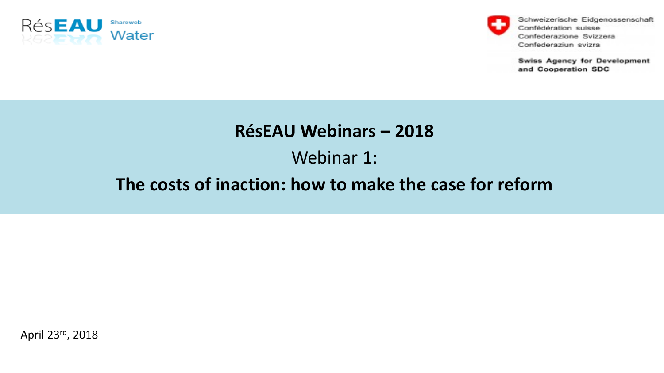



Schweizerische Eidgenossenschaft Confédération suisse Confederazione Svizzera Confederaziun svizra

**Swiss Agency for Development** and Cooperation SDC

#### **RésEAU Webinars – 2018**

Webinar 1:

#### **The costs of inaction: how to make the case for reform**

April 23rd, 2018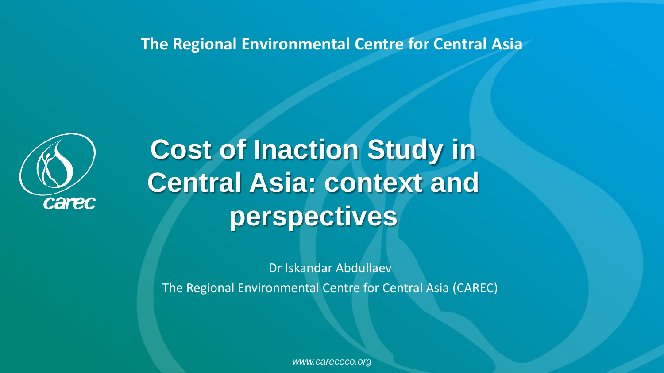**The Regional Environmental Centre for Central Asia** 



**Cost of Inaction Study in Central Asia: context and perspectives**

Dr Iskandar Abdullaev

The Regional Environmental Centre for Central Asia (CAREC)

*www.carececo.org*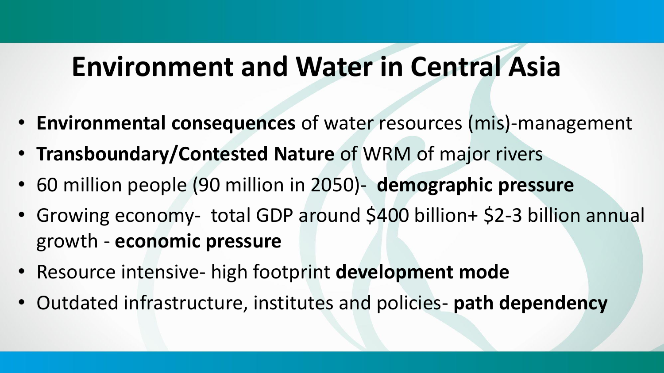### **Environment and Water in Central Asia**

- **Environmental consequences** of water resources (mis)-management
- **Transboundary/Contested Nature** of WRM of major rivers
- 60 million people (90 million in 2050)- **demographic pressure**
- Growing economy- total GDP around \$400 billion+ \$2-3 billion annual growth - **economic pressure**
- Resource intensive- high footprint **development mode**
- Outdated infrastructure, institutes and policies- **path dependency**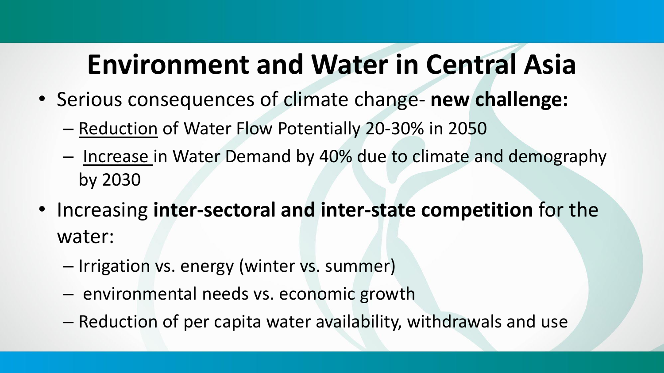## **Environment and Water in Central Asia**

- Serious consequences of climate change- **new challenge:**
	- Reduction of Water Flow Potentially 20-30% in 2050
	- Increase in Water Demand by 40% due to climate and demography by 2030
- Increasing **inter-sectoral and inter-state competition** for the water:
	- Irrigation vs. energy (winter vs. summer)
	- environmental needs vs. economic growth
	- Reduction of per capita water availability, withdrawals and use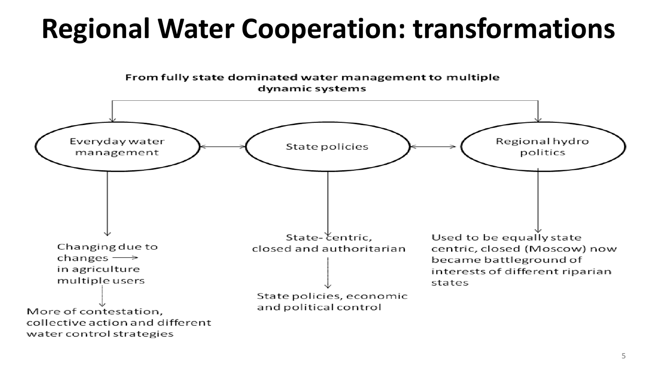# **Regional Water Cooperation: transformations**

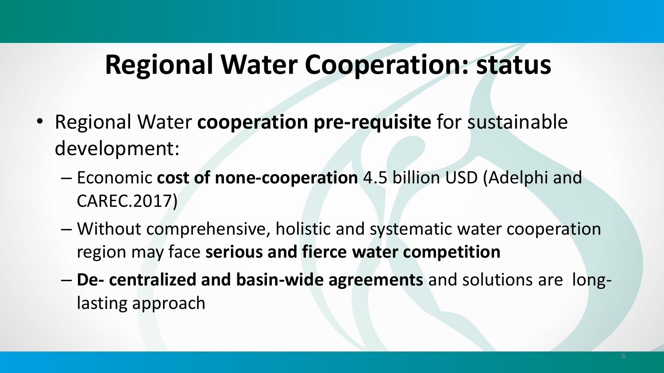### **Regional Water Cooperation: status**

- Regional Water **cooperation pre-requisite** for sustainable development:
	- Economic **cost of none-cooperation** 4.5 billion USD (Adelphi and CAREC.2017)
	- Without comprehensive, holistic and systematic water cooperation region may face **serious and fierce water competition**
	- **De- centralized and basin-wide agreements** and solutions are longlasting approach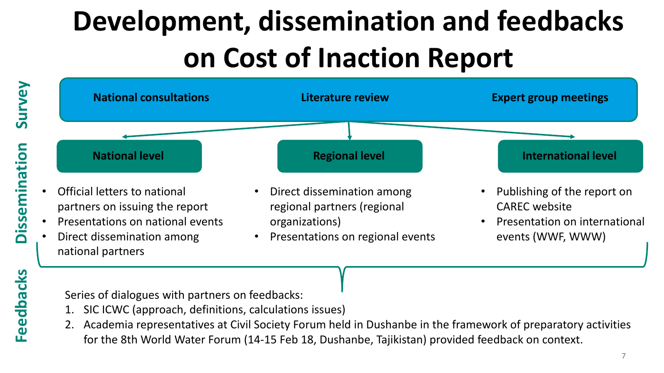# **Development, dissemination and feedbacks on Cost of Inaction Report**



**Survey**

**Dissemination**

Series of dialogues with partners on feedbacks:

- 1. SIC ICWC (approach, definitions, calculations issues)
- 2. Academia representatives at Civil Society Forum held in Dushanbe in the framework of preparatory activities for the 8th World Water Forum (14-15 Feb 18, Dushanbe, Tajikistan) provided feedback on context.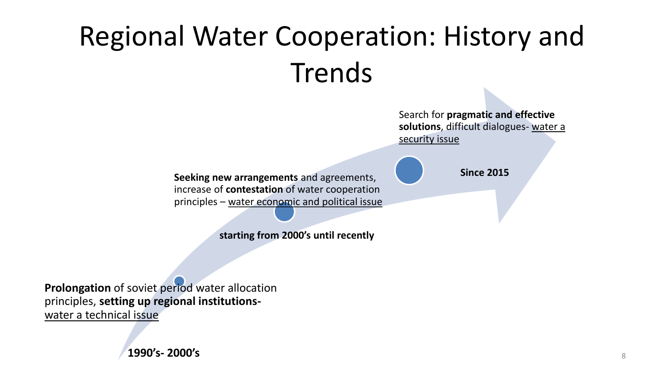# Regional Water Cooperation: History and Trends

Search for **pragmatic and effective solutions**, difficult dialogues- water a security issue

**Since 2015**

**Seeking new arrangements** and agreements, increase of **contestation** of water cooperation principles – water economic and political issue

**starting from 2000's until recently**

**Prolongation** of soviet period water allocation principles, **setting up regional institutions**water a technical issue

**1990's- 2000's**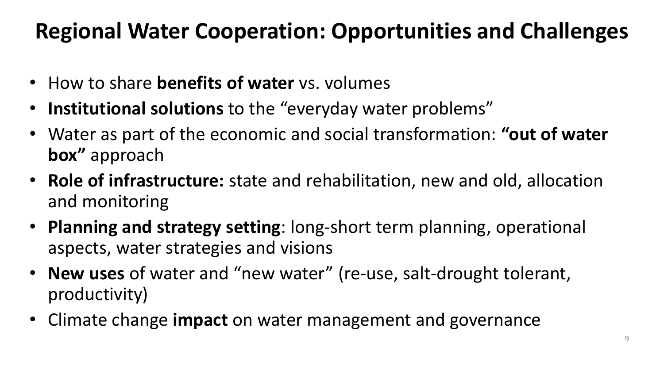#### **Regional Water Cooperation: Opportunities and Challenges**

- How to share **benefits of water** vs. volumes
- **Institutional solutions** to the "everyday water problems"
- Water as part of the economic and social transformation: **"out of water box"** approach
- **Role of infrastructure:** state and rehabilitation, new and old, allocation and monitoring
- **Planning and strategy setting**: long-short term planning, operational aspects, water strategies and visions
- **New uses** of water and "new water" (re-use, salt-drought tolerant, productivity)
- Climate change **impact** on water management and governance